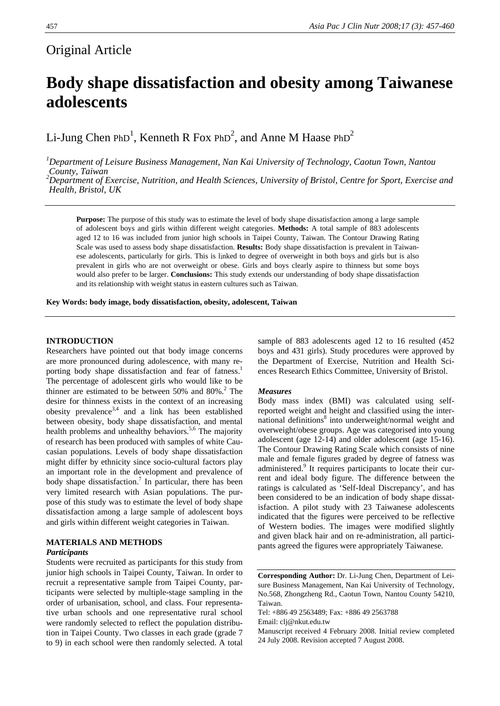### Original Article

# **Body shape dissatisfaction and obesity among Taiwanese adolescents**

Li-Jung Chen PhD<sup>1</sup>, Kenneth R Fox PhD<sup>2</sup>, and Anne M Haase PhD<sup>2</sup>

*1 Department of Leisure Business Management, Nan Kai University of Technology, Caotun Town, Nantou County, Taiwan* 

*2 Department of Exercise, Nutrition, and Health Sciences, University of Bristol, Centre for Sport, Exercise and Health, Bristol, UK* 

**Purpose:** The purpose of this study was to estimate the level of body shape dissatisfaction among a large sample of adolescent boys and girls within different weight categories. **Methods:** A total sample of 883 adolescents aged 12 to 16 was included from junior high schools in Taipei County, Taiwan. The Contour Drawing Rating Scale was used to assess body shape dissatisfaction. **Results:** Body shape dissatisfaction is prevalent in Taiwanese adolescents, particularly for girls. This is linked to degree of overweight in both boys and girls but is also prevalent in girls who are not overweight or obese. Girls and boys clearly aspire to thinness but some boys would also prefer to be larger. **Conclusions:** This study extends our understanding of body shape dissatisfaction and its relationship with weight status in eastern cultures such as Taiwan.

**Key Words: body image, body dissatisfaction, obesity, adolescent, Taiwan** 

#### **INTRODUCTION**

Researchers have pointed out that body image concerns are more pronounced during adolescence, with many reporting body shape dissatisfaction and fear of fatness.<sup>1</sup> The percentage of adolescent girls who would like to be thinner are estimated to be between  $50\%$  and  $80\%$ .<sup>2</sup> The desire for thinness exists in the context of an increasing obesity prevalence<sup>3,4</sup> and a link has been established between obesity, body shape dissatisfaction, and mental health problems and unhealthy behaviors.<sup>5,6</sup> The majority of research has been produced with samples of white Caucasian populations. Levels of body shape dissatisfaction might differ by ethnicity since socio-cultural factors play an important role in the development and prevalence of body shape dissatisfaction.<sup>7</sup> In particular, there has been very limited research with Asian populations. The purpose of this study was to estimate the level of body shape dissatisfaction among a large sample of adolescent boys and girls within different weight categories in Taiwan.

#### **MATERIALS AND METHODS**  *Participants*

Students were recruited as participants for this study from junior high schools in Taipei County, Taiwan. In order to recruit a representative sample from Taipei County, participants were selected by multiple-stage sampling in the order of urbanisation, school, and class. Four representative urban schools and one representative rural school were randomly selected to reflect the population distribution in Taipei County. Two classes in each grade (grade 7 to 9) in each school were then randomly selected. A total

sample of 883 adolescents aged 12 to 16 resulted (452 boys and 431 girls). Study procedures were approved by the Department of Exercise, Nutrition and Health Sciences Research Ethics Committee, University of Bristol.

#### *Measures*

Body mass index (BMI) was calculated using selfreported weight and height and classified using the international definitions<sup>8</sup> into underweight/normal weight and overweight/obese groups. Age was categorised into young adolescent (age 12-14) and older adolescent (age 15-16). The Contour Drawing Rating Scale which consists of nine male and female figures graded by degree of fatness was administered.<sup>9</sup> It requires participants to locate their current and ideal body figure. The difference between the ratings is calculated as 'Self-Ideal Discrepancy', and has been considered to be an indication of body shape dissatisfaction. A pilot study with 23 Taiwanese adolescents indicated that the figures were perceived to be reflective of Western bodies. The images were modified slightly and given black hair and on re-administration, all participants agreed the figures were appropriately Taiwanese.

**Corresponding Author:** Dr. Li-Jung Chen, Department of Leisure Business Management, Nan Kai University of Technology, No.568, Zhongzheng Rd., Caotun Town, Nantou County 54210, Taiwan.

Tel: +886 49 2563489; Fax: +886 49 2563788 Email: clj@nkut.edu.tw

Manuscript received 4 February 2008. Initial review completed 24 July 2008. Revision accepted 7 August 2008.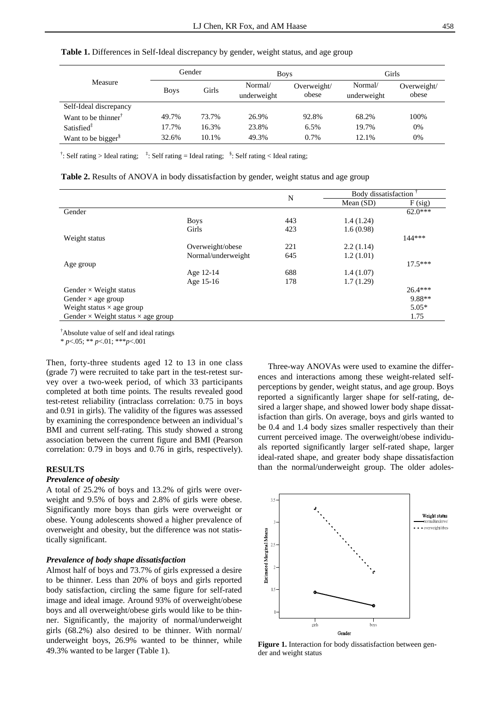|                                                     | Gender      |       | <b>Boys</b> |             | Girls       |             |
|-----------------------------------------------------|-------------|-------|-------------|-------------|-------------|-------------|
| Measure                                             | <b>Boys</b> | Girls | Normal/     | Overweight/ | Normal/     | Overweight/ |
|                                                     |             |       | underweight | obese       | underweight | obese       |
| Self-Ideal discrepancy                              |             |       |             |             |             |             |
| Want to be thinner <sup><math>\uparrow</math></sup> | 49.7%       | 73.7% | 26.9%       | 92.8%       | 68.2%       | 100%        |
| Satisfied <sup><math>\ddagger</math></sup>          | 17.7%       | 16.3% | 23.8%       | 6.5%        | 19.7%       | 0%          |
| Want to be bigger <sup>§</sup>                      | 32.6%       | 10.1% | 49.3%       | $0.7\%$     | 12.1%       | 0%          |

**Table 1.** Differences in Self-Ideal discrepancy by gender, weight status, and age group

<sup>†</sup>: Self rating > Ideal rating; <sup>‡</sup>: Self rating = Ideal rating; <sup>\$</sup>: Self rating < Ideal rating;

|  |  | Table 2. Results of ANOVA in body dissatisfaction by gender, weight status and age group |  |  |
|--|--|------------------------------------------------------------------------------------------|--|--|
|  |  |                                                                                          |  |  |

|                                                  |                    | N   | Body dissatisfaction <sup>1</sup> |           |
|--------------------------------------------------|--------------------|-----|-----------------------------------|-----------|
|                                                  |                    |     | Mean $(SD)$                       | F (sig)   |
| Gender                                           |                    |     |                                   | $62.0***$ |
|                                                  | <b>Boys</b>        | 443 | 1.4(1.24)                         |           |
|                                                  | Girls              | 423 | 1.6(0.98)                         |           |
| Weight status                                    |                    |     |                                   | $144***$  |
|                                                  | Overweight/obese   | 221 | 2.2(1.14)                         |           |
|                                                  | Normal/underweight | 645 | 1.2(1.01)                         |           |
| Age group                                        |                    |     |                                   | $17.5***$ |
|                                                  | Age 12-14          | 688 | 1.4(1.07)                         |           |
|                                                  | Age 15-16          | 178 | 1.7(1.29)                         |           |
| Gender $\times$ Weight status                    |                    |     |                                   | $26.4***$ |
| Gender $\times$ age group                        |                    |     |                                   | 9.88**    |
| Weight status $\times$ age group                 |                    |     |                                   | $5.05*$   |
| Gender $\times$ Weight status $\times$ age group |                    |     |                                   | 1.75      |

† Absolute value of self and ideal ratings

\* *p*<.05; \*\* *p*<.01; \*\*\**p*<.001

Then, forty-three students aged 12 to 13 in one class (grade 7) were recruited to take part in the test-retest survey over a two-week period, of which 33 participants completed at both time points. The results revealed good test-retest reliability (intraclass correlation: 0.75 in boys and 0.91 in girls). The validity of the figures was assessed by examining the correspondence between an individual's BMI and current self-rating. This study showed a strong association between the current figure and BMI (Pearson correlation: 0.79 in boys and 0.76 in girls, respectively).

#### **RESULTS**

#### *Prevalence of obesity*

A total of 25.2% of boys and 13.2% of girls were overweight and 9.5% of boys and 2.8% of girls were obese. Significantly more boys than girls were overweight or obese. Young adolescents showed a higher prevalence of overweight and obesity, but the difference was not statistically significant.

#### *Prevalence of body shape dissatisfaction*

Almost half of boys and 73.7% of girls expressed a desire to be thinner. Less than 20% of boys and girls reported body satisfaction, circling the same figure for self-rated image and ideal image. Around 93% of overweight/obese boys and all overweight/obese girls would like to be thinner. Significantly, the majority of normal/underweight girls (68.2%) also desired to be thinner. With normal/ underweight boys, 26.9% wanted to be thinner, while 49.3% wanted to be larger (Table 1).

Three-way ANOVAs were used to examine the differences and interactions among these weight-related selfperceptions by gender, weight status, and age group. Boys reported a significantly larger shape for self-rating, desired a larger shape, and showed lower body shape dissatisfaction than girls. On average, boys and girls wanted to be 0.4 and 1.4 body sizes smaller respectively than their current perceived image. The overweight/obese individuals reported significantly larger self-rated shape, larger ideal-rated shape, and greater body shape dissatisfaction than the normal/underweight group. The older adoles-



**Figure 1.** Interaction for body dissatisfaction between gender and weight status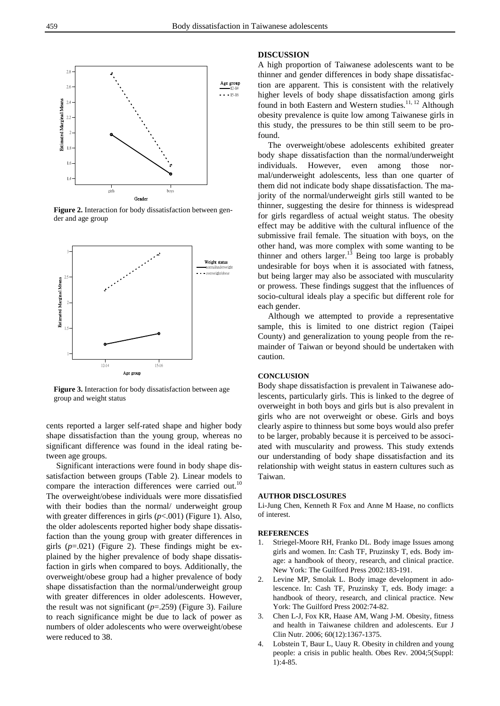

**Figure 2.** Interaction for body dissatisfaction between gender and age group



**Figure 3.** Interaction for body dissatisfaction between age group and weight status

cents reported a larger self-rated shape and higher body shape dissatisfaction than the young group, whereas no significant difference was found in the ideal rating between age groups.

Significant interactions were found in body shape dissatisfaction between groups (Table 2). Linear models to compare the interaction differences were carried out.<sup>10</sup> The overweight/obese individuals were more dissatisfied with their bodies than the normal/ underweight group with greater differences in girls (*p*<.001) (Figure 1). Also, the older adolescents reported higher body shape dissatisfaction than the young group with greater differences in girls (*p*=.021) (Figure 2). These findings might be explained by the higher prevalence of body shape dissatisfaction in girls when compared to boys. Additionally, the overweight/obese group had a higher prevalence of body shape dissatisfaction than the normal/underweight group with greater differences in older adolescents. However, the result was not significant (*p*=.259) (Figure 3). Failure to reach significance might be due to lack of power as numbers of older adolescents who were overweight/obese were reduced to 38.

#### **DISCUSSION**

A high proportion of Taiwanese adolescents want to be thinner and gender differences in body shape dissatisfaction are apparent. This is consistent with the relatively higher levels of body shape dissatisfaction among girls found in both Eastern and Western studies.<sup>11, 12</sup> Although obesity prevalence is quite low among Taiwanese girls in this study, the pressures to be thin still seem to be profound.

The overweight/obese adolescents exhibited greater body shape dissatisfaction than the normal/underweight individuals. However, even among those normal/underweight adolescents, less than one quarter of them did not indicate body shape dissatisfaction. The majority of the normal/underweight girls still wanted to be thinner, suggesting the desire for thinness is widespread for girls regardless of actual weight status. The obesity effect may be additive with the cultural influence of the submissive frail female. The situation with boys, on the other hand, was more complex with some wanting to be thinner and others larger.<sup>13</sup> Being too large is probably undesirable for boys when it is associated with fatness, but being larger may also be associated with muscularity or prowess. These findings suggest that the influences of socio-cultural ideals play a specific but different role for each gender.

Although we attempted to provide a representative sample, this is limited to one district region (Taipei County) and generalization to young people from the remainder of Taiwan or beyond should be undertaken with caution.

#### **CONCLUSION**

Body shape dissatisfaction is prevalent in Taiwanese adolescents, particularly girls. This is linked to the degree of overweight in both boys and girls but is also prevalent in girls who are not overweight or obese. Girls and boys clearly aspire to thinness but some boys would also prefer to be larger, probably because it is perceived to be associated with muscularity and prowess. This study extends our understanding of body shape dissatisfaction and its relationship with weight status in eastern cultures such as Taiwan.

#### **AUTHOR DISCLOSURES**

Li-Jung Chen, Kenneth R Fox and Anne M Haase, no conflicts of interest.

#### **REFERENCES**

- 1. Striegel-Moore RH, Franko DL. Body image Issues among girls and women. In: Cash TF, Pruzinsky T, eds. Body image: a handbook of theory, research, and clinical practice. New York: The Guilford Press 2002:183-191.
- 2. Levine MP, Smolak L. Body image development in adolescence. In: Cash TF, Pruzinsky T, eds. Body image: a handbook of theory, research, and clinical practice. New York: The Guilford Press 2002:74-82.
- 3. Chen L-J, Fox KR, Haase AM, Wang J-M. Obesity, fitness and health in Taiwanese children and adolescents. Eur J Clin Nutr. 2006; 60(12):1367-1375.
- 4. Lobstein T, Baur L, Uauy R. Obesity in children and young people: a crisis in public health. Obes Rev. 2004;5(Suppl: 1):4-85.